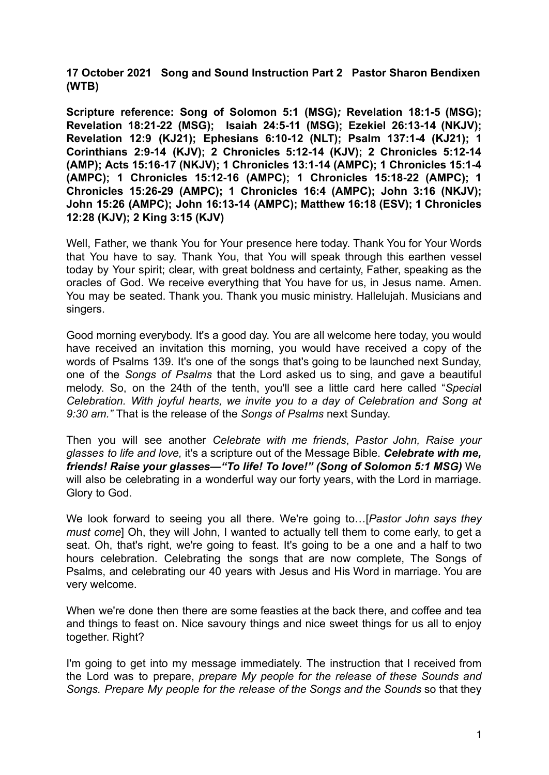**17 October 2021 Song and Sound Instruction Part 2 Pastor Sharon Bendixen (WTB)**

**Scripture reference: Song of [Solomon](https://www.biblegateway.com/passage/?search=Song%20of%20Solomon%205%3A1&version=MSG) 5:1 (MSG)***;* **Revelation 18:1-5 (MSG); Revelation 18:21-22 (MSG); Isaiah 24:5-11 (MSG); Ezekiel 26:13-14 (NKJV); Revelation 12:9 (KJ21); Ephesians 6:10-12 (NLT); Psalm 137:1-4 (KJ21); 1 Corinthians 2:9-14 (KJV); 2 Chronicles 5:12-14 (KJV); 2 Chronicles 5:12-14 (AMP); Acts 15:16-17 (NKJV); 1 Chronicles 13:1-14 (AMPC); 1 Chronicles 15:1-4 (AMPC); 1 Chronicles 15:12-16 (AMPC); 1 Chronicles 15:18-22 (AMPC); 1 Chronicles 15:26-29 (AMPC); 1 Chronicles 16:4 (AMPC); John 3:16 (NKJV); John 15:26 (AMPC); John 16:13-14 (AMPC); Matthew 16:18 (ESV); 1 Chronicles 12:28 (KJV); 2 King 3:15 (KJV)**

Well, Father, we thank You for Your presence here today. Thank You for Your Words that You have to say. Thank You, that You will speak through this earthen vessel today by Your spirit; clear, with great boldness and certainty, Father, speaking as the oracles of God. We receive everything that You have for us, in Jesus name. Amen. You may be seated. Thank you. Thank you music ministry. Hallelujah. Musicians and singers.

Good morning everybody. It's a good day. You are all welcome here today, you would have received an invitation this morning, you would have received a copy of the words of Psalms 139. It's one of the songs that's going to be launched next Sunday, one of the *Songs of Psalms* that the Lord asked us to sing, and gave a beautiful melody. So, on the 24th of the tenth, you'll see a little card here called "*Specia*l *Celebration. With joyful hearts, we invite you to a day of Celebration and Song at 9:30 am."* That is the release of the *Songs of Psalms* next Sunday.

Then you will see another *Celebrate with me friends*, *Pastor John, Raise your glasses to life and love,* it's a scripture out of the Message Bible. *Celebrate with me, friends! Raise your glasses—"To life! To love!" (Song of [Solomon](https://www.biblegateway.com/passage/?search=Song%20of%20Solomon%205%3A1&version=MSG) 5:1 MSG)* We will also be celebrating in a wonderful way our forty years, with the Lord in marriage. Glory to God.

We look forward to seeing you all there. We're going to…[*Pastor John says they must come*] Oh, they will John, I wanted to actually tell them to come early, to get a seat. Oh, that's right, we're going to feast. It's going to be a one and a half to two hours celebration. Celebrating the songs that are now complete, The Songs of Psalms, and celebrating our 40 years with Jesus and His Word in marriage. You are very welcome.

When we're done then there are some feasties at the back there, and coffee and tea and things to feast on. Nice savoury things and nice sweet things for us all to enjoy together. Right?

I'm going to get into my message immediately. The instruction that I received from the Lord was to prepare, *prepare My people for the release of these Sounds and Songs. Prepare My people for the release of the Songs and the Sounds* so that they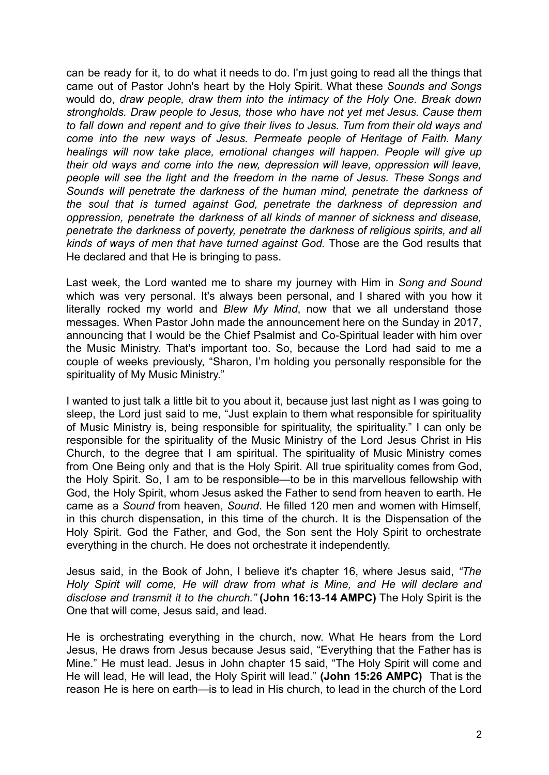can be ready for it, to do what it needs to do. I'm just going to read all the things that came out of Pastor John's heart by the Holy Spirit. What these *Sounds and Songs* would do, *draw people, draw them into the intimacy of the Holy One. Break down strongholds. Draw people to Jesus, those who have not yet met Jesus. Cause them to fall down and repent and to give their lives to Jesus. Turn from their old ways and come into the new ways of Jesus. Permeate people of Heritage of Faith. Many healings will now take place, emotional changes will happen. People will give up their old ways and come into the new, depression will leave, oppression will leave, people will see the light and the freedom in the name of Jesus. These Songs and Sounds will penetrate the darkness of the human mind, penetrate the darkness of the soul that is turned against God, penetrate the darkness of depression and oppression, penetrate the darkness of all kinds of manner of sickness and disease, penetrate the darkness of poverty, penetrate the darkness of religious spirits, and all kinds of ways of men that have turned against God.* Those are the God results that He declared and that He is bringing to pass.

Last week, the Lord wanted me to share my journey with Him in *Song and Sound* which was very personal. It's always been personal, and I shared with you how it literally rocked my world and *Blew My Mind*, now that we all understand those messages. When Pastor John made the announcement here on the Sunday in 2017, announcing that I would be the Chief Psalmist and Co-Spiritual leader with him over the Music Ministry. That's important too. So, because the Lord had said to me a couple of weeks previously, "Sharon, I'm holding you personally responsible for the spirituality of My Music Ministry."

I wanted to just talk a little bit to you about it, because just last night as I was going to sleep, the Lord just said to me, "Just explain to them what responsible for spirituality of Music Ministry is, being responsible for spirituality, the spirituality." I can only be responsible for the spirituality of the Music Ministry of the Lord Jesus Christ in His Church, to the degree that I am spiritual. The spirituality of Music Ministry comes from One Being only and that is the Holy Spirit. All true spirituality comes from God, the Holy Spirit. So, I am to be responsible—to be in this marvellous fellowship with God, the Holy Spirit, whom Jesus asked the Father to send from heaven to earth. He came as a *Sound* from heaven, *Sound*. He filled 120 men and women with Himself, in this church dispensation, in this time of the church. It is the Dispensation of the Holy Spirit. God the Father, and God, the Son sent the Holy Spirit to orchestrate everything in the church. He does not orchestrate it independently.

Jesus said, in the Book of John, I believe it's chapter 16, where Jesus said, *"The Holy Spirit will come, He will draw from what is Mine, and He will declare and disclose and transmit it to the church."* **(John 16:13-14 AMPC)** The Holy Spirit is the One that will come, Jesus said, and lead.

He is orchestrating everything in the church, now. What He hears from the Lord Jesus, He draws from Jesus because Jesus said, "Everything that the Father has is Mine." He must lead. Jesus in John chapter 15 said, "The Holy Spirit will come and He will lead, He will lead, the Holy Spirit will lead." **(John 15:26 AMPC)** That is the reason He is here on earth—is to lead in His church, to lead in the church of the Lord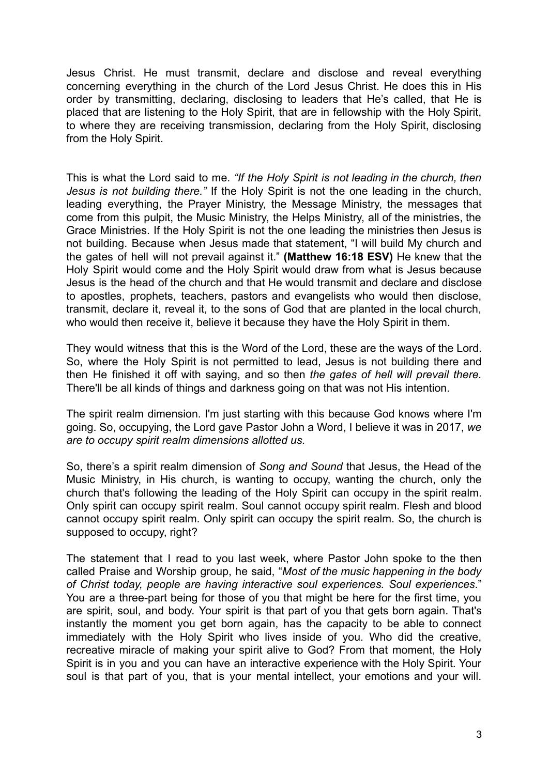Jesus Christ. He must transmit, declare and disclose and reveal everything concerning everything in the church of the Lord Jesus Christ. He does this in His order by transmitting, declaring, disclosing to leaders that He's called, that He is placed that are listening to the Holy Spirit, that are in fellowship with the Holy Spirit, to where they are receiving transmission, declaring from the Holy Spirit, disclosing from the Holy Spirit.

This is what the Lord said to me. *"If the Holy Spirit is not leading in the church, then Jesus is not building there."* If the Holy Spirit is not the one leading in the church, leading everything, the Prayer Ministry, the Message Ministry, the messages that come from this pulpit, the Music Ministry, the Helps Ministry, all of the ministries, the Grace Ministries. If the Holy Spirit is not the one leading the ministries then Jesus is not building. Because when Jesus made that statement, "I will build My church and the gates of hell will not prevail against it." **(Matthew 16:18 ESV)** He knew that the Holy Spirit would come and the Holy Spirit would draw from what is Jesus because Jesus is the head of the church and that He would transmit and declare and disclose to apostles, prophets, teachers, pastors and evangelists who would then disclose, transmit, declare it, reveal it, to the sons of God that are planted in the local church, who would then receive it, believe it because they have the Holy Spirit in them.

They would witness that this is the Word of the Lord, these are the ways of the Lord. So, where the Holy Spirit is not permitted to lead, Jesus is not building there and then He finished it off with saying, and so then *the gates of hell will prevail there.* There'll be all kinds of things and darkness going on that was not His intention.

The spirit realm dimension. I'm just starting with this because God knows where I'm going. So, occupying, the Lord gave Pastor John a Word, I believe it was in 2017, *we are to occupy spirit realm dimensions allotted us.*

So, there's a spirit realm dimension of *Song and Sound* that Jesus, the Head of the Music Ministry, in His church, is wanting to occupy, wanting the church, only the church that's following the leading of the Holy Spirit can occupy in the spirit realm. Only spirit can occupy spirit realm. Soul cannot occupy spirit realm. Flesh and blood cannot occupy spirit realm. Only spirit can occupy the spirit realm. So, the church is supposed to occupy, right?

The statement that I read to you last week, where Pastor John spoke to the then called Praise and Worship group, he said, "*Most of the music happening in the body of Christ today, people are having interactive soul experiences. Soul experiences*." You are a three-part being for those of you that might be here for the first time, you are spirit, soul, and body. Your spirit is that part of you that gets born again. That's instantly the moment you get born again, has the capacity to be able to connect immediately with the Holy Spirit who lives inside of you. Who did the creative, recreative miracle of making your spirit alive to God? From that moment, the Holy Spirit is in you and you can have an interactive experience with the Holy Spirit. Your soul is that part of you, that is your mental intellect, your emotions and your will.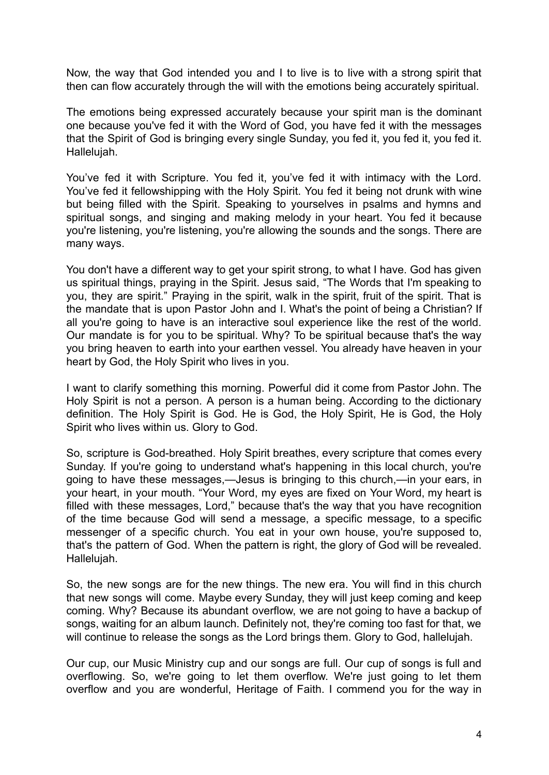Now, the way that God intended you and I to live is to live with a strong spirit that then can flow accurately through the will with the emotions being accurately spiritual.

The emotions being expressed accurately because your spirit man is the dominant one because you've fed it with the Word of God, you have fed it with the messages that the Spirit of God is bringing every single Sunday, you fed it, you fed it, you fed it. Hallelujah.

You've fed it with Scripture. You fed it, you've fed it with intimacy with the Lord. You've fed it fellowshipping with the Holy Spirit. You fed it being not drunk with wine but being filled with the Spirit. Speaking to yourselves in psalms and hymns and spiritual songs, and singing and making melody in your heart. You fed it because you're listening, you're listening, you're allowing the sounds and the songs. There are many ways.

You don't have a different way to get your spirit strong, to what I have. God has given us spiritual things, praying in the Spirit. Jesus said, "The Words that I'm speaking to you, they are spirit." Praying in the spirit, walk in the spirit, fruit of the spirit. That is the mandate that is upon Pastor John and I. What's the point of being a Christian? If all you're going to have is an interactive soul experience like the rest of the world. Our mandate is for you to be spiritual. Why? To be spiritual because that's the way you bring heaven to earth into your earthen vessel. You already have heaven in your heart by God, the Holy Spirit who lives in you.

I want to clarify something this morning. Powerful did it come from Pastor John. The Holy Spirit is not a person. A person is a human being. According to the dictionary definition. The Holy Spirit is God. He is God, the Holy Spirit, He is God, the Holy Spirit who lives within us. Glory to God.

So, scripture is God-breathed. Holy Spirit breathes, every scripture that comes every Sunday. If you're going to understand what's happening in this local church, you're going to have these messages,—Jesus is bringing to this church,—in your ears, in your heart, in your mouth. "Your Word, my eyes are fixed on Your Word, my heart is filled with these messages, Lord," because that's the way that you have recognition of the time because God will send a message, a specific message, to a specific messenger of a specific church. You eat in your own house, you're supposed to, that's the pattern of God. When the pattern is right, the glory of God will be revealed. Hallelujah.

So, the new songs are for the new things. The new era. You will find in this church that new songs will come. Maybe every Sunday, they will just keep coming and keep coming. Why? Because its abundant overflow, we are not going to have a backup of songs, waiting for an album launch. Definitely not, they're coming too fast for that, we will continue to release the songs as the Lord brings them. Glory to God, hallelujah.

Our cup, our Music Ministry cup and our songs are full. Our cup of songs is full and overflowing. So, we're going to let them overflow. We're just going to let them overflow and you are wonderful, Heritage of Faith. I commend you for the way in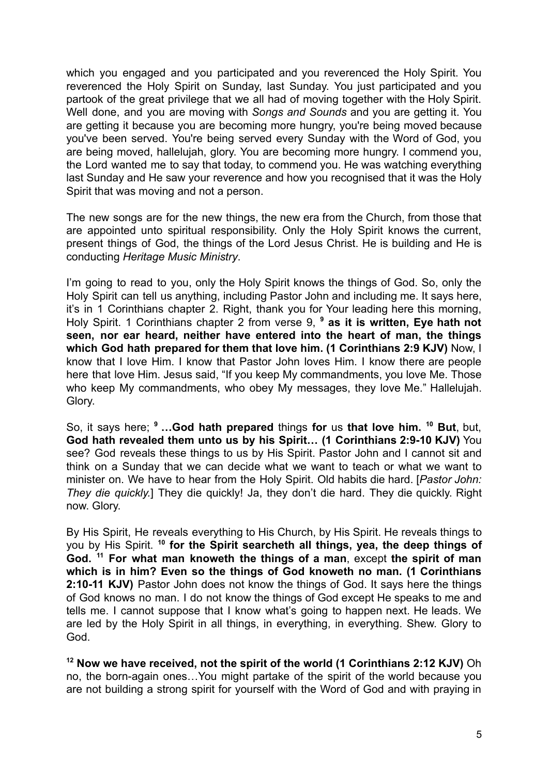which you engaged and you participated and you reverenced the Holy Spirit. You reverenced the Holy Spirit on Sunday, last Sunday. You just participated and you partook of the great privilege that we all had of moving together with the Holy Spirit. Well done, and you are moving with *Songs and Sounds* and you are getting it. You are getting it because you are becoming more hungry, you're being moved because you've been served. You're being served every Sunday with the Word of God, you are being moved, hallelujah, glory. You are becoming more hungry. I commend you, the Lord wanted me to say that today, to commend you. He was watching everything last Sunday and He saw your reverence and how you recognised that it was the Holy Spirit that was moving and not a person.

The new songs are for the new things, the new era from the Church, from those that are appointed unto spiritual responsibility. Only the Holy Spirit knows the current, present things of God, the things of the Lord Jesus Christ. He is building and He is conducting *Heritage Music Ministry*.

I'm going to read to you, only the Holy Spirit knows the things of God. So, only the Holy Spirit can tell us anything, including Pastor John and including me. It says here, it's in 1 Corinthians chapter 2. Right, thank you for Your leading here this morning, Holy Spirit. 1 Corinthians chapter 2 from verse 9, **<sup>9</sup> as it is written, Eye hath not seen, nor ear heard, neither have entered into the heart of man, the things which God hath prepared for them that love him. (1 Corinthians 2:9 KJV)** Now, I know that I love Him. I know that Pastor John loves Him. I know there are people here that love Him. Jesus said, "If you keep My commandments, you love Me. Those who keep My commandments, who obey My messages, they love Me." Hallelujah. Glory.

So, it says here; **<sup>9</sup> …God hath prepared** things **for** us **that love him. <sup>10</sup> But**, but, **God hath revealed them unto us by his Spirit… (1 Corinthians 2:9-10 KJV)** You see? God reveals these things to us by His Spirit. Pastor John and I cannot sit and think on a Sunday that we can decide what we want to teach or what we want to minister on. We have to hear from the Holy Spirit. Old habits die hard. [*Pastor John: They die quickly.*] They die quickly! Ja, they don't die hard. They die quickly. Right now. Glory.

By His Spirit, He reveals everything to His Church, by His Spirit. He reveals things to you by His Spirit. **<sup>10</sup> for the Spirit searcheth all things, yea, the deep things of God. <sup>11</sup> For what man knoweth the things of a man**, except **the spirit of man which is in him? Even so the things of God knoweth no man. (1 Corinthians 2:10-11 KJV)** Pastor John does not know the things of God. It says here the things of God knows no man. I do not know the things of God except He speaks to me and tells me. I cannot suppose that I know what's going to happen next. He leads. We are led by the Holy Spirit in all things, in everything, in everything. Shew. Glory to God.

**<sup>12</sup> Now we have received, not the spirit of the world (1 Corinthians 2:12 KJV)** Oh no, the born-again ones…You might partake of the spirit of the world because you are not building a strong spirit for yourself with the Word of God and with praying in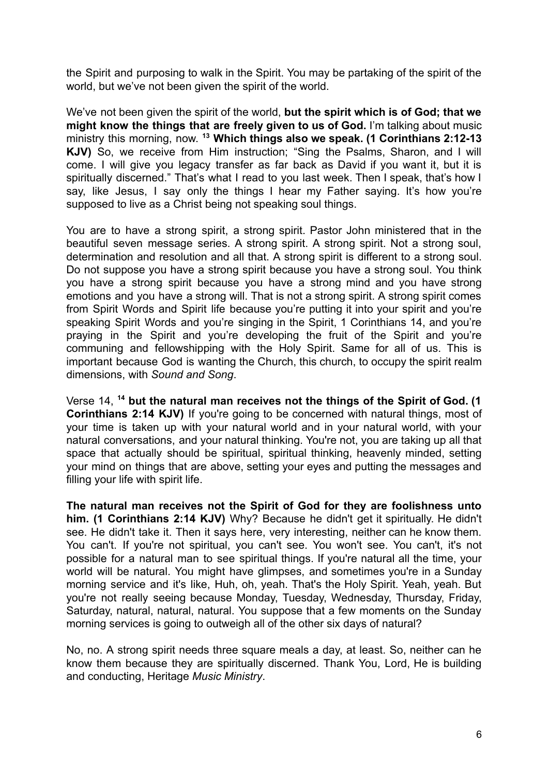the Spirit and purposing to walk in the Spirit. You may be partaking of the spirit of the world, but we've not been given the spirit of the world.

We've not been given the spirit of the world, **but the spirit which is of God; that we might know the things that are freely given to us of God.** I'm talking about music ministry this morning, now. **<sup>13</sup> Which things also we speak. (1 Corinthians 2:12-13 KJV)** So, we receive from Him instruction; "Sing the Psalms, Sharon, and I will come. I will give you legacy transfer as far back as David if you want it, but it is spiritually discerned." That's what I read to you last week. Then I speak, that's how I say, like Jesus, I say only the things I hear my Father saying. It's how you're supposed to live as a Christ being not speaking soul things.

You are to have a strong spirit, a strong spirit. Pastor John ministered that in the beautiful seven message series. A strong spirit. A strong spirit. Not a strong soul, determination and resolution and all that. A strong spirit is different to a strong soul. Do not suppose you have a strong spirit because you have a strong soul. You think you have a strong spirit because you have a strong mind and you have strong emotions and you have a strong will. That is not a strong spirit. A strong spirit comes from Spirit Words and Spirit life because you're putting it into your spirit and you're speaking Spirit Words and you're singing in the Spirit, 1 Corinthians 14, and you're praying in the Spirit and you're developing the fruit of the Spirit and you're communing and fellowshipping with the Holy Spirit. Same for all of us. This is important because God is wanting the Church, this church, to occupy the spirit realm dimensions, with *Sound and Song*.

Verse 14, **<sup>14</sup> but the natural man receives not the things of the Spirit of God. (1 Corinthians 2:14 KJV)** If you're going to be concerned with natural things, most of your time is taken up with your natural world and in your natural world, with your natural conversations, and your natural thinking. You're not, you are taking up all that space that actually should be spiritual, spiritual thinking, heavenly minded, setting your mind on things that are above, setting your eyes and putting the messages and filling your life with spirit life.

**The natural man receives not the Spirit of God for they are foolishness unto him. (1 Corinthians 2:14 KJV)** Why? Because he didn't get it spiritually. He didn't see. He didn't take it. Then it says here, very interesting, neither can he know them. You can't. If you're not spiritual, you can't see. You won't see. You can't, it's not possible for a natural man to see spiritual things. If you're natural all the time, your world will be natural. You might have glimpses, and sometimes you're in a Sunday morning service and it's like, Huh, oh, yeah. That's the Holy Spirit. Yeah, yeah. But you're not really seeing because Monday, Tuesday, Wednesday, Thursday, Friday, Saturday, natural, natural, natural. You suppose that a few moments on the Sunday morning services is going to outweigh all of the other six days of natural?

No, no. A strong spirit needs three square meals a day, at least. So, neither can he know them because they are spiritually discerned. Thank You, Lord, He is building and conducting, Heritage *Music Ministry*.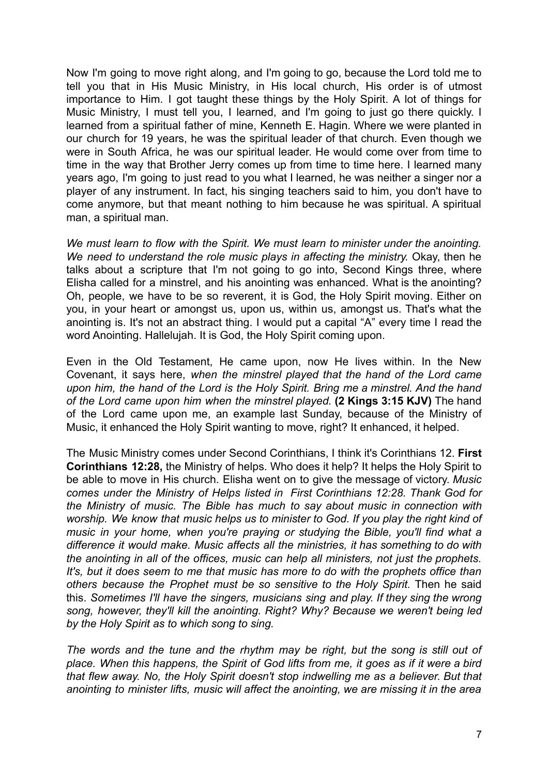Now I'm going to move right along, and I'm going to go, because the Lord told me to tell you that in His Music Ministry, in His local church, His order is of utmost importance to Him. I got taught these things by the Holy Spirit. A lot of things for Music Ministry, I must tell you, I learned, and I'm going to just go there quickly. I learned from a spiritual father of mine, Kenneth E. Hagin. Where we were planted in our church for 19 years, he was the spiritual leader of that church. Even though we were in South Africa, he was our spiritual leader. He would come over from time to time in the way that Brother Jerry comes up from time to time here. I learned many years ago, I'm going to just read to you what I learned, he was neither a singer nor a player of any instrument. In fact, his singing teachers said to him, you don't have to come anymore, but that meant nothing to him because he was spiritual. A spiritual man, a spiritual man.

*We must learn to flow with the Spirit. We must learn to minister under the anointing. We need to understand the role music plays in affecting the ministry.* Okay, then he talks about a scripture that I'm not going to go into, Second Kings three, where Elisha called for a minstrel, and his anointing was enhanced. What is the anointing? Oh, people, we have to be so reverent, it is God, the Holy Spirit moving. Either on you, in your heart or amongst us, upon us, within us, amongst us. That's what the anointing is. It's not an abstract thing. I would put a capital "A" every time I read the word Anointing. Hallelujah. It is God, the Holy Spirit coming upon.

Even in the Old Testament, He came upon, now He lives within. In the New Covenant, it says here, *when the minstrel played that the hand of the Lord came upon him, the hand of the Lord is the Holy Spirit. Bring me a minstrel. And the hand of the Lord came upon him when the minstrel played.* **(2 Kings 3:15 KJV)** The hand of the Lord came upon me, an example last Sunday, because of the Ministry of Music, it enhanced the Holy Spirit wanting to move, right? It enhanced, it helped.

The Music Ministry comes under Second Corinthians, I think it's Corinthians 12. **First Corinthians 12:28,** the Ministry of helps. Who does it help? It helps the Holy Spirit to be able to move in His church. Elisha went on to give the message of victory. *Music comes under the Ministry of Helps listed in First Corinthians 12:28. Thank God for the Ministry of music. The Bible has much to say about music in connection with worship. We know that music helps us to minister to God. If you play the right kind of music in your home, when you're praying or studying the Bible, you'll find what a difference it would make. Music affects all the ministries, it has something to do with the anointing in all of the offices, music can help all ministers, not just the prophets. It's, but it does seem to me that music has more to do with the prophets office than others because the Prophet must be so sensitive to the Holy Spirit.* Then he said this. *Sometimes I'll have the singers, musicians sing and play. If they sing the wrong song, however, they'll kill the anointing. Right? Why? Because we weren't being led by the Holy Spirit as to which song to sing.*

*The words and the tune and the rhythm may be right, but the song is still out of place. When this happens, the Spirit of God lifts from me, it goes as if it were a bird that flew away. No, the Holy Spirit doesn't stop indwelling me as a believer. But that anointing to minister lifts, music will affect the anointing, we are missing it in the area*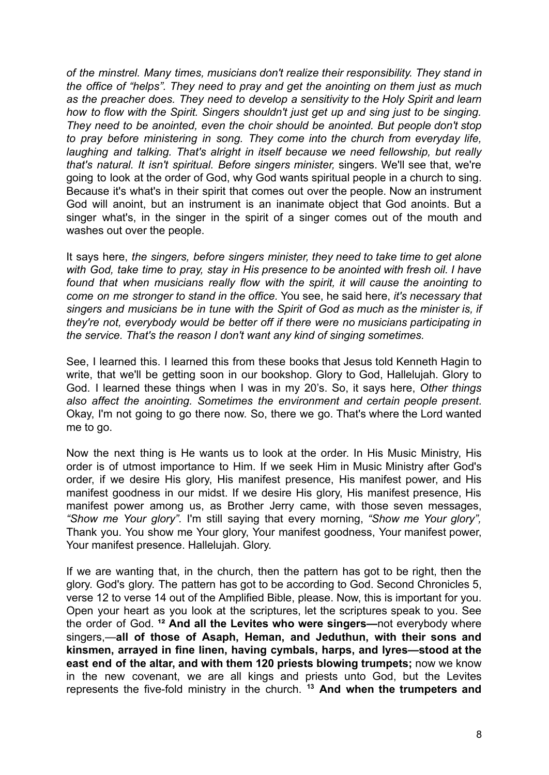*of the minstrel. Many times, musicians don't realize their responsibility. They stand in the office of "helps". They need to pray and get the anointing on them just as much as the preacher does. They need to develop a sensitivity to the Holy Spirit and learn how to flow with the Spirit. Singers shouldn't just get up and sing just to be singing. They need to be anointed, even the choir should be anointed. But people don't stop to pray before ministering in song. They come into the church from everyday life, laughing and talking. That's alright in itself because we need fellowship, but really that's natural. It isn't spiritual. Before singers minister,* singers. We'll see that, we're going to look at the order of God, why God wants spiritual people in a church to sing. Because it's what's in their spirit that comes out over the people. Now an instrument God will anoint, but an instrument is an inanimate object that God anoints. But a singer what's, in the singer in the spirit of a singer comes out of the mouth and washes out over the people.

It says here, *the singers, before singers minister, they need to take time to get alone with God, take time to pray, stay in His presence to be anointed with fresh oil. I have found that when musicians really flow with the spirit, it will cause the anointing to come on me stronger to stand in the office.* You see, he said here, *it's necessary that singers and musicians be in tune with the Spirit of God as much as the minister is, if they're not, everybody would be better off if there were no musicians participating in the service. That's the reason I don't want any kind of singing sometimes.*

See, I learned this. I learned this from these books that Jesus told Kenneth Hagin to write, that we'll be getting soon in our bookshop. Glory to God, Hallelujah. Glory to God. I learned these things when I was in my 20's. So, it says here, *Other things also affect the anointing. Sometimes the environment and certain people present*. Okay, I'm not going to go there now. So, there we go. That's where the Lord wanted me to go.

Now the next thing is He wants us to look at the order. In His Music Ministry, His order is of utmost importance to Him. If we seek Him in Music Ministry after God's order, if we desire His glory, His manifest presence, His manifest power, and His manifest goodness in our midst. If we desire His glory, His manifest presence, His manifest power among us, as Brother Jerry came, with those seven messages, *"Show me Your glory".* I'm still saying that every morning, *"Show me Your glory",* Thank you. You show me Your glory, Your manifest goodness, Your manifest power, Your manifest presence. Hallelujah. Glory.

If we are wanting that, in the church, then the pattern has got to be right, then the glory. God's glory. The pattern has got to be according to God. Second Chronicles 5, verse 12 to verse 14 out of the Amplified Bible, please. Now, this is important for you. Open your heart as you look at the scriptures, let the scriptures speak to you. See the order of God. **¹² And all the Levites who were singers—**not everybody where singers,—**all of those of Asaph, Heman, and Jeduthun, with their sons and kinsmen, arrayed in fine linen, having cymbals, harps, and lyres—stood at the east end of the altar, and with them 120 priests blowing trumpets;** now we know in the new covenant, we are all kings and priests unto God, but the Levites represents the five-fold ministry in the church. **<sup>13</sup> And when the trumpeters and**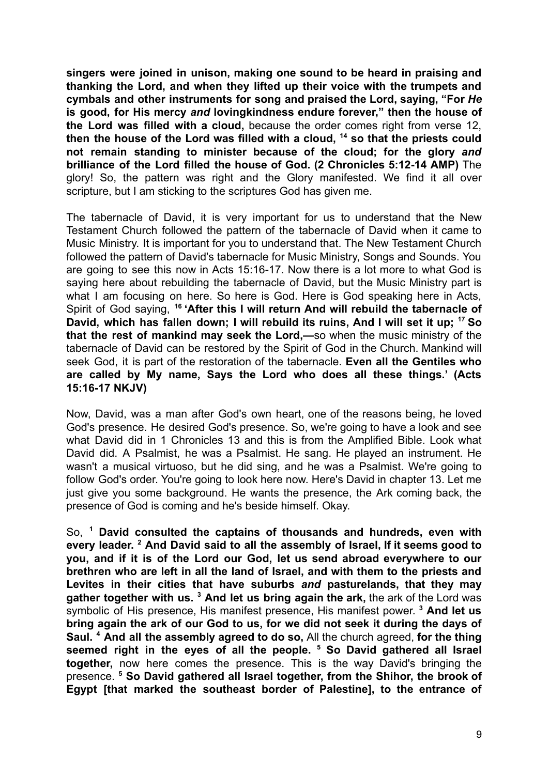**singers were joined in unison, making one sound to be heard in praising and thanking the Lord, and when they lifted up their voice with the trumpets and cymbals and other instruments for song and praised the Lord, saying, "For** *He* **is good, for His mercy** *and* **lovingkindness endure forever," then the house of the Lord was filled with a cloud,** because the order comes right from verse 12, **then the house of the Lord was filled with a cloud, <sup>14</sup> so that the priests could not remain standing to minister because of the cloud; for the glory** *and* **brilliance of the Lord filled the house of God. (2 Chronicles 5:12-14 AMP)** The glory! So, the pattern was right and the Glory manifested. We find it all over scripture, but I am sticking to the scriptures God has given me.

The tabernacle of David, it is very important for us to understand that the New Testament Church followed the pattern of the tabernacle of David when it came to Music Ministry. It is important for you to understand that. The New Testament Church followed the pattern of David's tabernacle for Music Ministry, Songs and Sounds. You are going to see this now in Acts 15:16-17. Now there is a lot more to what God is saying here about rebuilding the tabernacle of David, but the Music Ministry part is what I am focusing on here. So here is God. Here is God speaking here in Acts, Spirit of God saying, **<sup>16</sup> 'After this I will return And will rebuild the tabernacle of David, which has fallen down; I will rebuild its ruins, And I will set it up; <sup>17</sup> So that the rest of mankind may seek the Lord,—**so when the music ministry of the tabernacle of David can be restored by the Spirit of God in the Church. Mankind will seek God, it is part of the restoration of the tabernacle. **Even all the Gentiles who are called by My name, Says the Lord who does all these things.' (Acts 15:16-17 NKJV)**

Now, David, was a man after God's own heart, one of the reasons being, he loved God's presence. He desired God's presence. So, we're going to have a look and see what David did in 1 Chronicles 13 and this is from the Amplified Bible. Look what David did. A Psalmist, he was a Psalmist. He sang. He played an instrument. He wasn't a musical virtuoso, but he did sing, and he was a Psalmist. We're going to follow God's order. You're going to look here now. Here's David in chapter 13. Let me just give you some background. He wants the presence, the Ark coming back, the presence of God is coming and he's beside himself. Okay.

So, **<sup>1</sup> David consulted the captains of thousands and hundreds, even with every leader. <sup>2</sup> And David said to all the assembly of Israel, If it seems good to you, and if it is of the Lord our God, let us send abroad everywhere to our brethren who are left in all the land of Israel, and with them to the priests and Levites in their cities that have suburbs** *and* **pasturelands, that they may gather together with us. <sup>3</sup> And let us bring again the ark,** the ark of the Lord was symbolic of His presence, His manifest presence, His manifest power. **<sup>3</sup> And let us bring again the ark of our God to us, for we did not seek it during the days of Saul. <sup>4</sup> And all the assembly agreed to do so,** All the church agreed, **for the thing seemed right in the eyes of all the people. <sup>5</sup> So David gathered all Israel together,** now here comes the presence. This is the way David's bringing the presence. **<sup>5</sup> So David gathered all Israel together, from the Shihor, the brook of Egypt [that marked the southeast border of Palestine], to the entrance of**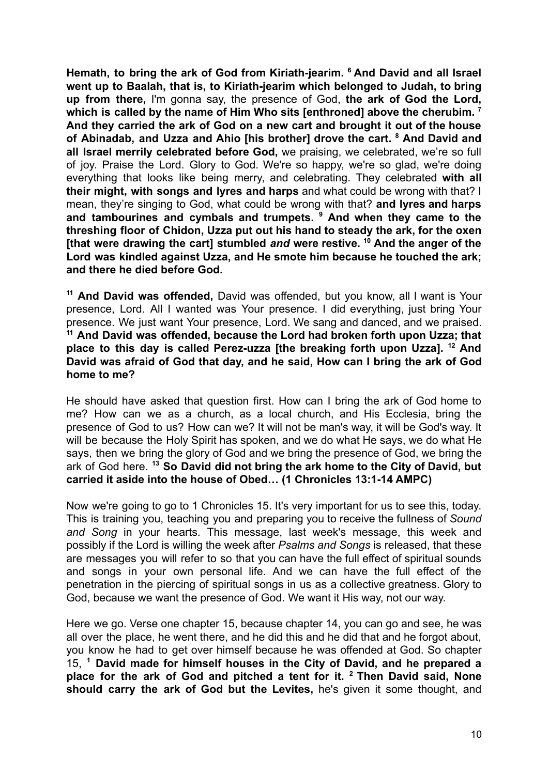**Hemath, to bring the ark of God from Kiriath-jearim. <sup>6</sup> And David and all Israel went up to Baalah, that is, to Kiriath-jearim which belonged to Judah, to bring up from there,** I'm gonna say, the presence of God, **the ark of God the Lord, which is called by the name of Him Who sits [enthroned] above the cherubim. <sup>7</sup> And they carried the ark of God on a new cart and brought it out of the house of Abinadab, and Uzza and Ahio [his brother] drove the cart. <sup>8</sup> And David and all Israel merrily celebrated before God,** we praising, we celebrated, we're so full of joy. Praise the Lord. Glory to God. We're so happy, we're so glad, we're doing everything that looks like being merry, and celebrating. They celebrated **with all their might, with songs and lyres and harps** and what could be wrong with that? I mean, they're singing to God, what could be wrong with that? **and lyres and harps and tambourines and cymbals and trumpets. <sup>9</sup> And when they came to the threshing floor of Chidon, Uzza put out his hand to steady the ark, for the oxen [that were drawing the cart] stumbled** *and* **were restive. <sup>10</sup> And the anger of the Lord was kindled against Uzza, and He smote him because he touched the ark; and there he died before God.**

**<sup>11</sup> And David was offended,** David was offended, but you know, all I want is Your presence, Lord. All I wanted was Your presence. I did everything, just bring Your presence. We just want Your presence, Lord. We sang and danced, and we praised. **<sup>11</sup> And David was offended, because the Lord had broken forth upon Uzza; that place to this day is called Perez-uzza [the breaking forth upon Uzza]. <sup>12</sup> And David was afraid of God that day, and he said, How can I bring the ark of God home to me?**

He should have asked that question first. How can I bring the ark of God home to me? How can we as a church, as a local church, and His Ecclesia, bring the presence of God to us? How can we? It will not be man's way, it will be God's way. It will be because the Holy Spirit has spoken, and we do what He says, we do what He says, then we bring the glory of God and we bring the presence of God, we bring the ark of God here. **<sup>13</sup> So David did not bring the ark home to the City of David, but carried it aside into the house of Obed… (1 Chronicles 13:1-14 AMPC)**

Now we're going to go to 1 Chronicles 15. It's very important for us to see this, today. This is training you, teaching you and preparing you to receive the fullness of *Sound and Song* in your hearts. This message, last week's message, this week and possibly if the Lord is willing the week after *Psalms and Songs* is released, that these are messages you will refer to so that you can have the full effect of spiritual sounds and songs in your own personal life. And we can have the full effect of the penetration in the piercing of spiritual songs in us as a collective greatness. Glory to God, because we want the presence of God. We want it His way, not our way.

Here we go. Verse one chapter 15, because chapter 14, you can go and see, he was all over the place, he went there, and he did this and he did that and he forgot about, you know he had to get over himself because he was offended at God. So chapter 15, **<sup>1</sup> David made for himself houses in the City of David, and he prepared a place for the ark of God and pitched a tent for it. <sup>2</sup> Then David said, None should carry the ark of God but the Levites,** he's given it some thought, and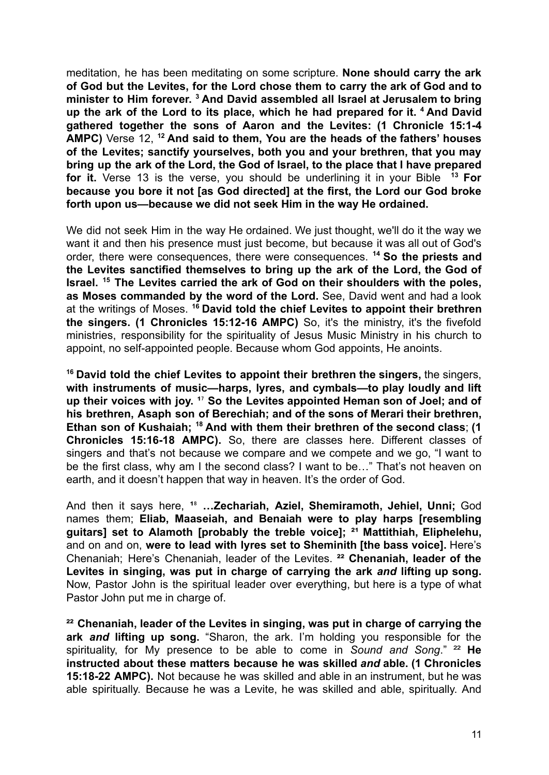meditation, he has been meditating on some scripture. **None should carry the ark of God but the Levites, for the Lord chose them to carry the ark of God and to minister to Him forever. <sup>3</sup> And David assembled all Israel at Jerusalem to bring up the ark of the Lord to its place, which he had prepared for it. <sup>4</sup> And David gathered together the sons of Aaron and the Levites: (1 Chronicle 15:1-4 AMPC)** Verse 12, **<sup>12</sup> And said to them, You are the heads of the fathers' houses of the Levites; sanctify yourselves, both you and your brethren, that you may bring up the ark of the Lord, the God of Israel, to the place that I have prepared for it.** Verse 13 is the verse, you should be underlining it in your Bible **<sup>13</sup> For because you bore it not [as God directed] at the first, the Lord our God broke forth upon us—because we did not seek Him in the way He ordained.**

We did not seek Him in the way He ordained. We just thought, we'll do it the way we want it and then his presence must just become, but because it was all out of God's order, there were consequences, there were consequences. **<sup>14</sup> So the priests and the Levites sanctified themselves to bring up the ark of the Lord, the God of Israel. <sup>15</sup> The Levites carried the ark of God on their shoulders with the poles, as Moses commanded by the word of the Lord.** See, David went and had a look at the writings of Moses. **<sup>16</sup> David told the chief Levites to appoint their brethren the singers. (1 Chronicles 15:12-16 AMPC)** So, it's the ministry, it's the fivefold ministries, responsibility for the spirituality of Jesus Music Ministry in his church to appoint, no self-appointed people. Because whom God appoints, He anoints.

**<sup>16</sup> David told the chief Levites to appoint their brethren the singers,** the singers, **with instruments of music—harps, lyres, and cymbals—to play loudly and lift up** their voices with joy.<sup>17</sup> So the Levites appointed Heman son of Joel; and of **his brethren, Asaph son of Berechiah; and of the sons of Merari their brethren, Ethan son of Kushaiah; <sup>18</sup> And with them their brethren of the second class**; **(1 Chronicles 15:16-18 AMPC).** So, there are classes here. Different classes of singers and that's not because we compare and we compete and we go, "I want to be the first class, why am I the second class? I want to be…" That's not heaven on earth, and it doesn't happen that way in heaven. It's the order of God.

And then it says here, **¹**⁸ **…Zechariah, Aziel, Shemiramoth, Jehiel, Unni;** God names them; **Eliab, Maaseiah, and Benaiah were to play harps [resembling guitars]** set to Alamoth [probably the treble voice]; <sup>21</sup> Mattithiah, Eliphelehu, and on and on, **were to lead with lyres set to Sheminith [the bass voice].** Here's Chenaniah; Here's Chenaniah, leader of the Levites. **²² Chenaniah, leader of the Levites in singing, was put in charge of carrying the ark** *and* **lifting up song.** Now, Pastor John is the spiritual leader over everything, but here is a type of what Pastor John put me in charge of.

**²² Chenaniah, leader of the Levites in singing, was put in charge of carrying the ark** *and* **lifting up song.** "Sharon, the ark. I'm holding you responsible for the spirituality, for My presence to be able to come in *Sound and Song*." ²² **He instructed about these matters because he was skilled** *and* **able. (1 Chronicles 15:18-22 AMPC).** Not because he was skilled and able in an instrument, but he was able spiritually. Because he was a Levite, he was skilled and able, spiritually. And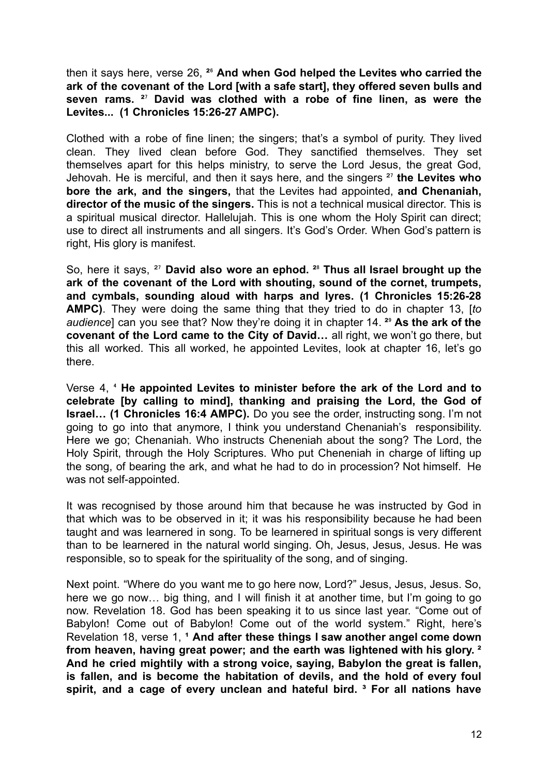then it says here, verse 26, **²**⁶ **And when God helped the Levites who carried the ark of the covenant of the Lord [with a safe start], they offered seven bulls and seven rams. ²**⁷ **David was clothed with a robe of fine linen, as were the Levites... (1 Chronicles 15:26-27 AMPC).**

Clothed with a robe of fine linen; the singers; that's a symbol of purity. They lived clean. They lived clean before God. They sanctified themselves. They set themselves apart for this helps ministry, to serve the Lord Jesus, the great God, Jehovah. He is merciful, and then it says here, and the singers ²⁷ **the Levites who bore the ark, and the singers,** that the Levites had appointed, **and Chenaniah, director of the music of the singers.** This is not a technical musical director. This is a spiritual musical director. Hallelujah. This is one whom the Holy Spirit can direct; use to direct all instruments and all singers. It's God's Order. When God's pattern is right, His glory is manifest.

So, here it says, ²⁷ **David also wore an ephod. ²**⁸ **Thus all Israel brought up the ark of the covenant of the Lord with shouting, sound of the cornet, trumpets, and cymbals, sounding aloud with harps and lyres. (1 Chronicles 15:26-28 AMPC)**. They were doing the same thing that they tried to do in chapter 13, [*to audience*] can you see that? Now they're doing it in chapter 14. **²**⁹ **As the ark of the covenant of the Lord came to the City of David…** all right, we won't go there, but this all worked. This all worked, he appointed Levites, look at chapter 16, let's go there.

Verse 4, ⁴ **He appointed Levites to minister before the ark of the Lord and to celebrate [by calling to mind], thanking and praising the Lord, the God of Israel… (1 Chronicles 16:4 AMPC).** Do you see the order, instructing song. I'm not going to go into that anymore, I think you understand Chenaniah's responsibility. Here we go; Chenaniah. Who instructs Cheneniah about the song? The Lord, the Holy Spirit, through the Holy Scriptures. Who put Cheneniah in charge of lifting up the song, of bearing the ark, and what he had to do in procession? Not himself. He was not self-appointed.

It was recognised by those around him that because he was instructed by God in that which was to be observed in it; it was his responsibility because he had been taught and was learnered in song. To be learnered in spiritual songs is very different than to be learnered in the natural world singing. Oh, Jesus, Jesus, Jesus. He was responsible, so to speak for the spirituality of the song, and of singing.

Next point. "Where do you want me to go here now, Lord?" Jesus, Jesus, Jesus. So, here we go now… big thing, and I will finish it at another time, but I'm going to go now. Revelation 18. God has been speaking it to us since last year. "Come out of Babylon! Come out of Babylon! Come out of the world system." Right, here's Revelation 18, verse 1, **¹ And after these things I saw another angel come down from heaven, having great power; and the earth was lightened with his glory. ² And he cried mightily with a strong voice, saying, Babylon the great is fallen, is fallen, and is become the habitation of devils, and the hold of every foul spirit, and a cage of every unclean and hateful bird. ³ For all nations have**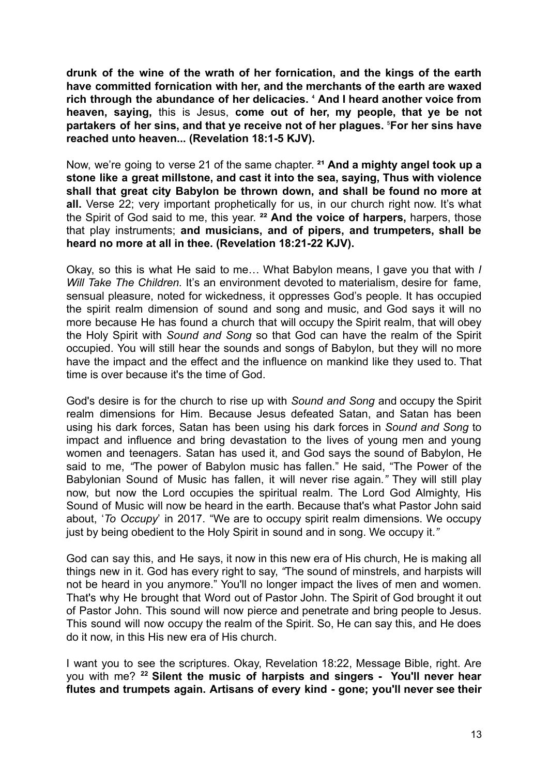**drunk of the wine of the wrath of her fornication, and the kings of the earth have committed fornication with her, and the merchants of the earth are waxed rich through the abundance of her delicacies.** ⁴ **And I heard another voice from heaven, saying,** this is Jesus, **come out of her, my people, that ye be not partakers of her sins, and that ye receive not of her plagues.** ⁵**For her sins have reached unto heaven... (Revelation 18:1-5 KJV).**

Now, we're going to verse 21 of the same chapter. <sup>21</sup> And a mighty angel took up a **stone like a great millstone, and cast it into the sea, saying, Thus with violence shall that great city Babylon be thrown down, and shall be found no more at all.** Verse 22; very important prophetically for us, in our church right now. It's what the Spirit of God said to me, this year. **²² And the voice of harpers,** harpers, those that play instruments; **and musicians, and of pipers, and trumpeters, shall be heard no more at all in thee. (Revelation 18:21-22 KJV).**

Okay, so this is what He said to me… What Babylon means, I gave you that with *I Will Take The Children.* It's an environment devoted to materialism, desire for fame, sensual pleasure, noted for wickedness, it oppresses God's people. It has occupied the spirit realm dimension of sound and song and music, and God says it will no more because He has found a church that will occupy the Spirit realm, that will obey the Holy Spirit with *Sound and Song* so that God can have the realm of the Spirit occupied. You will still hear the sounds and songs of Babylon, but they will no more have the impact and the effect and the influence on mankind like they used to. That time is over because it's the time of God.

God's desire is for the church to rise up with *Sound and Song* and occupy the Spirit realm dimensions for Him. Because Jesus defeated Satan, and Satan has been using his dark forces, Satan has been using his dark forces in *Sound and Song* to impact and influence and bring devastation to the lives of young men and young women and teenagers. Satan has used it, and God says the sound of Babylon, He said to me, *"*The power of Babylon music has fallen." He said, "The Power of the Babylonian Sound of Music has fallen, it will never rise again*."* They will still play now, but now the Lord occupies the spiritual realm. The Lord God Almighty, His Sound of Music will now be heard in the earth. Because that's what Pastor John said about, '*To Occupy*' in 2017. "We are to occupy spirit realm dimensions. We occupy just by being obedient to the Holy Spirit in sound and in song. We occupy it.*"*

God can say this, and He says, it now in this new era of His church, He is making all things new in it. God has every right to say, *"*The sound of minstrels, and harpists will not be heard in you anymore." You'll no longer impact the lives of men and women. That's why He brought that Word out of Pastor John. The Spirit of God brought it out of Pastor John. This sound will now pierce and penetrate and bring people to Jesus. This sound will now occupy the realm of the Spirit. So, He can say this, and He does do it now, in this His new era of His church.

I want you to see the scriptures. Okay, Revelation 18:22, Message Bible, right. Are you with me? **<sup>22</sup> Silent the music of harpists and singers - You'll never hear flutes and trumpets again. Artisans of every kind - gone; you'll never see their**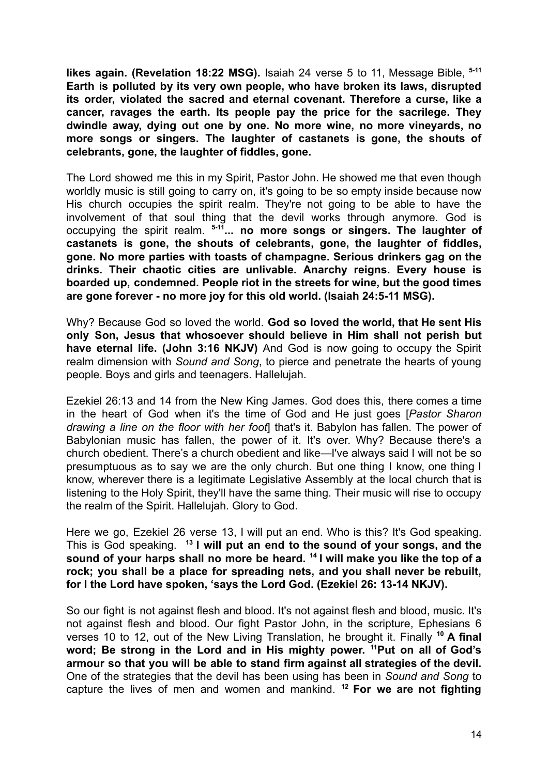**likes again. (Revelation 18:22 MSG).** Isaiah 24 verse 5 to 11, Message Bible, **5-11 Earth is polluted by its very own people, who have broken its laws, disrupted its order, violated the sacred and eternal covenant. Therefore a curse, like a cancer, ravages the earth. Its people pay the price for the sacrilege. They dwindle away, dying out one by one. No more wine, no more vineyards, no more songs or singers. The laughter of castanets is gone, the shouts of celebrants, gone, the laughter of fiddles, gone.**

The Lord showed me this in my Spirit, Pastor John. He showed me that even though worldly music is still going to carry on, it's going to be so empty inside because now His church occupies the spirit realm. They're not going to be able to have the involvement of that soul thing that the devil works through anymore. God is occupying the spirit realm. **5-11 ... no more songs or singers. The laughter of castanets is gone, the shouts of celebrants, gone, the laughter of fiddles, gone. No more parties with toasts of champagne. Serious drinkers gag on the drinks. Their chaotic cities are unlivable. Anarchy reigns. Every house is boarded up, condemned. People riot in the streets for wine, but the good times are gone forever - no more joy for this old world. (Isaiah 24:5-11 MSG).**

Why? Because God so loved the world. **God so loved the world, that He sent His only Son, Jesus that whosoever should believe in Him shall not perish but have eternal life. (John 3:16 NKJV)** And God is now going to occupy the Spirit realm dimension with *Sound and Song*, to pierce and penetrate the hearts of young people. Boys and girls and teenagers. Hallelujah.

Ezekiel 26:13 and 14 from the New King James. God does this, there comes a time in the heart of God when it's the time of God and He just goes [*Pastor Sharon drawing a line on the floor with her foot*] that's it. Babylon has fallen. The power of Babylonian music has fallen, the power of it. It's over. Why? Because there's a church obedient. There's a church obedient and like—I've always said I will not be so presumptuous as to say we are the only church. But one thing I know, one thing I know, wherever there is a legitimate Legislative Assembly at the local church that is listening to the Holy Spirit, they'll have the same thing. Their music will rise to occupy the realm of the Spirit. Hallelujah. Glory to God.

Here we go, Ezekiel 26 verse 13, I will put an end. Who is this? It's God speaking. This is God speaking. **<sup>13</sup> I will put an end to the sound of your songs, and the sound of your harps shall no more be heard. <sup>14</sup> I will make you like the top of a rock; you shall be a place for spreading nets, and you shall never be rebuilt, for I the Lord have spoken, 'says the Lord God. (Ezekiel 26: 13-14 NKJV).**

So our fight is not against flesh and blood. It's not against flesh and blood, music. It's not against flesh and blood. Our fight Pastor John, in the scripture, Ephesians 6 verses 10 to 12, out of the New Living Translation, he brought it. Finally **<sup>10</sup> A final word; Be strong in the Lord and in His mighty power. <sup>11</sup>Put on all of God's armour so that you will be able to stand firm against all strategies of the devil.** One of the strategies that the devil has been using has been in *Sound and Song* to capture the lives of men and women and mankind. **<sup>12</sup> For we are not fighting**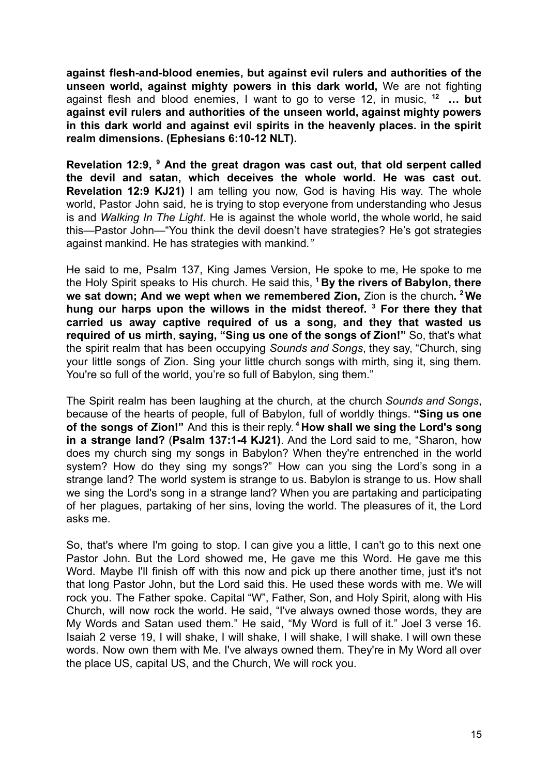**against flesh-and-blood enemies, but against evil rulers and authorities of the unseen world, against mighty powers in this dark world,** We are not fighting against flesh and blood enemies, I want to go to verse 12, in music, **<sup>12</sup> … but against evil rulers and authorities of the unseen world, against mighty powers in this dark world and against evil spirits in the heavenly places. in the spirit realm dimensions. (Ephesians 6:10-12 NLT).**

**Revelation 12:9, <sup>9</sup> And the great dragon was cast out, that old serpent called the devil and satan, which deceives the whole world. He was cast out. Revelation 12:9 KJ21)** I am telling you now, God is having His way. The whole world, Pastor John said, he is trying to stop everyone from understanding who Jesus is and *Walking In The Light*. He is against the whole world, the whole world, he said this—Pastor John—"You think the devil doesn't have strategies? He's got strategies against mankind. He has strategies with mankind*."*

He said to me, Psalm 137, King James Version, He spoke to me, He spoke to me the Holy Spirit speaks to His church. He said this, **<sup>1</sup> By the rivers of Babylon, there we sat down; And we wept when we remembered Zion,** Zion is the church**. <sup>2</sup> We hung our harps upon the willows in the midst thereof. <sup>3</sup> For there they that carried us away captive required of us a song, and they that wasted us required of us mirth**, **saying, "Sing us one of the songs of Zion!"** So, that's what the spirit realm that has been occupying *Sounds and Songs*, they say, "Church, sing your little songs of Zion. Sing your little church songs with mirth, sing it, sing them. You're so full of the world, you're so full of Babylon, sing them."

The Spirit realm has been laughing at the church, at the church *Sounds and Songs*, because of the hearts of people, full of Babylon, full of worldly things. **"Sing us one of the songs of Zion!"** And this is their reply. **<sup>4</sup> How shall we sing the Lord's song in a strange land?** (**Psalm 137:1-4 KJ21)**. And the Lord said to me, "Sharon, how does my church sing my songs in Babylon? When they're entrenched in the world system? How do they sing my songs?" How can you sing the Lord's song in a strange land? The world system is strange to us. Babylon is strange to us. How shall we sing the Lord's song in a strange land? When you are partaking and participating of her plagues, partaking of her sins, loving the world. The pleasures of it, the Lord asks me.

So, that's where I'm going to stop. I can give you a little, I can't go to this next one Pastor John. But the Lord showed me, He gave me this Word. He gave me this Word. Maybe I'll finish off with this now and pick up there another time, just it's not that long Pastor John, but the Lord said this. He used these words with me. We will rock you. The Father spoke. Capital "W", Father, Son, and Holy Spirit, along with His Church, will now rock the world. He said, "I've always owned those words, they are My Words and Satan used them." He said, "My Word is full of it." Joel 3 verse 16. Isaiah 2 verse 19, I will shake, I will shake, I will shake, I will shake. I will own these words. Now own them with Me. I've always owned them. They're in My Word all over the place US, capital US, and the Church, We will rock you.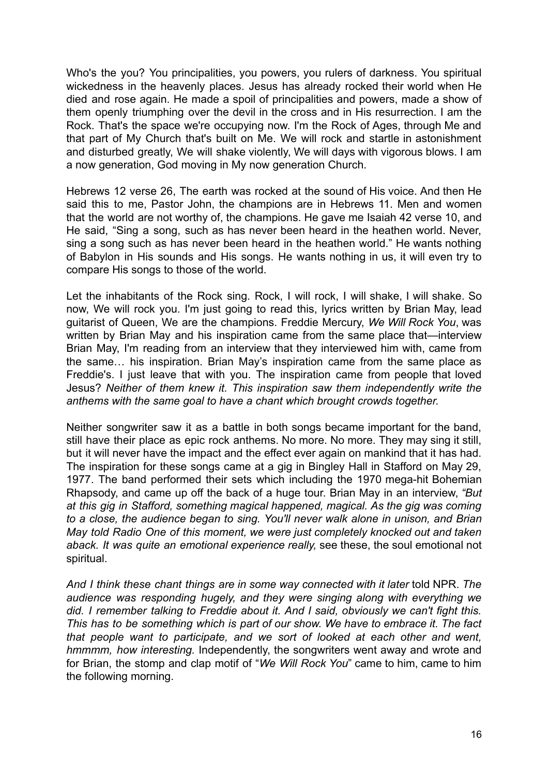Who's the you? You principalities, you powers, you rulers of darkness. You spiritual wickedness in the heavenly places. Jesus has already rocked their world when He died and rose again. He made a spoil of principalities and powers, made a show of them openly triumphing over the devil in the cross and in His resurrection. I am the Rock. That's the space we're occupying now. I'm the Rock of Ages, through Me and that part of My Church that's built on Me. We will rock and startle in astonishment and disturbed greatly, We will shake violently, We will days with vigorous blows. I am a now generation, God moving in My now generation Church.

Hebrews 12 verse 26, The earth was rocked at the sound of His voice. And then He said this to me, Pastor John, the champions are in Hebrews 11. Men and women that the world are not worthy of, the champions. He gave me Isaiah 42 verse 10, and He said, "Sing a song, such as has never been heard in the heathen world. Never, sing a song such as has never been heard in the heathen world." He wants nothing of Babylon in His sounds and His songs. He wants nothing in us, it will even try to compare His songs to those of the world.

Let the inhabitants of the Rock sing. Rock, I will rock, I will shake, I will shake. So now, We will rock you. I'm just going to read this, lyrics written by Brian May, lead guitarist of Queen, We are the champions. Freddie Mercury, *We Will Rock You*, was written by Brian May and his inspiration came from the same place that—interview Brian May, I'm reading from an interview that they interviewed him with, came from the same… his inspiration. Brian May's inspiration came from the same place as Freddie's. I just leave that with you. The inspiration came from people that loved Jesus? *Neither of them knew it. This inspiration saw them independently write the anthems with the same goal to have a chant which brought crowds together.*

Neither songwriter saw it as a battle in both songs became important for the band, still have their place as epic rock anthems. No more. No more. They may sing it still, but it will never have the impact and the effect ever again on mankind that it has had. The inspiration for these songs came at a gig in Bingley Hall in Stafford on May 29, 1977. The band performed their sets which including the 1970 mega-hit Bohemian Rhapsody, and came up off the back of a huge tour. Brian May in an interview, *"But at this gig in Stafford, something magical happened, magical. As the gig was coming to a close, the audience began to sing. You'll never walk alone in unison, and Brian May told Radio One of this moment, we were just completely knocked out and taken aback. It was quite an emotional experience really,* see these, the soul emotional not spiritual.

*And I think these chant things are in some way connected with it later* told NPR. *The audience was responding hugely, and they were singing along with everything we did. I remember talking to Freddie about it. And I said, obviously we can't fight this. This has to be something which is part of our show. We have to embrace it. The fact that people want to participate, and we sort of looked at each other and went, hmmmm, how interesting.* Independently, the songwriters went away and wrote and for Brian, the stomp and clap motif of "*We Will Rock You*" came to him, came to him the following morning.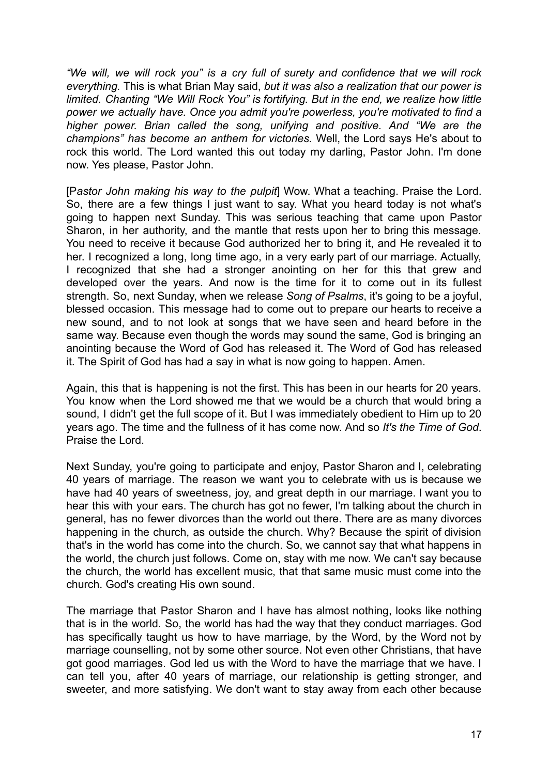*"We will, we will rock you" is a cry full of surety and confidence that we will rock everything.* This is what Brian May said, *but it was also a realization that our power is limited. Chanting "We Will Rock You" is fortifying. But in the end, we realize how little power we actually have. Once you admit you're powerless, you're motivated to find a higher power. Brian called the song, unifying and positive. And "We are the champions" has become an anthem for victories.* Well, the Lord says He's about to rock this world. The Lord wanted this out today my darling, Pastor John. I'm done now. Yes please, Pastor John.

[P*astor John making his way to the pulpit*] Wow. What a teaching. Praise the Lord. So, there are a few things I just want to say. What you heard today is not what's going to happen next Sunday. This was serious teaching that came upon Pastor Sharon, in her authority, and the mantle that rests upon her to bring this message. You need to receive it because God authorized her to bring it, and He revealed it to her. I recognized a long, long time ago, in a very early part of our marriage. Actually, I recognized that she had a stronger anointing on her for this that grew and developed over the years. And now is the time for it to come out in its fullest strength. So, next Sunday, when we release *Song of Psalms*, it's going to be a joyful, blessed occasion. This message had to come out to prepare our hearts to receive a new sound, and to not look at songs that we have seen and heard before in the same way. Because even though the words may sound the same, God is bringing an anointing because the Word of God has released it. The Word of God has released it. The Spirit of God has had a say in what is now going to happen. Amen.

Again, this that is happening is not the first. This has been in our hearts for 20 years. You know when the Lord showed me that we would be a church that would bring a sound, I didn't get the full scope of it. But I was immediately obedient to Him up to 20 years ago. The time and the fullness of it has come now. And so *It's the Time of God*. Praise the Lord.

Next Sunday, you're going to participate and enjoy, Pastor Sharon and I, celebrating 40 years of marriage. The reason we want you to celebrate with us is because we have had 40 years of sweetness, joy, and great depth in our marriage. I want you to hear this with your ears. The church has got no fewer, I'm talking about the church in general, has no fewer divorces than the world out there. There are as many divorces happening in the church, as outside the church. Why? Because the spirit of division that's in the world has come into the church. So, we cannot say that what happens in the world, the church just follows. Come on, stay with me now. We can't say because the church, the world has excellent music, that that same music must come into the church. God's creating His own sound.

The marriage that Pastor Sharon and I have has almost nothing, looks like nothing that is in the world. So, the world has had the way that they conduct marriages. God has specifically taught us how to have marriage, by the Word, by the Word not by marriage counselling, not by some other source. Not even other Christians, that have got good marriages. God led us with the Word to have the marriage that we have. I can tell you, after 40 years of marriage, our relationship is getting stronger, and sweeter, and more satisfying. We don't want to stay away from each other because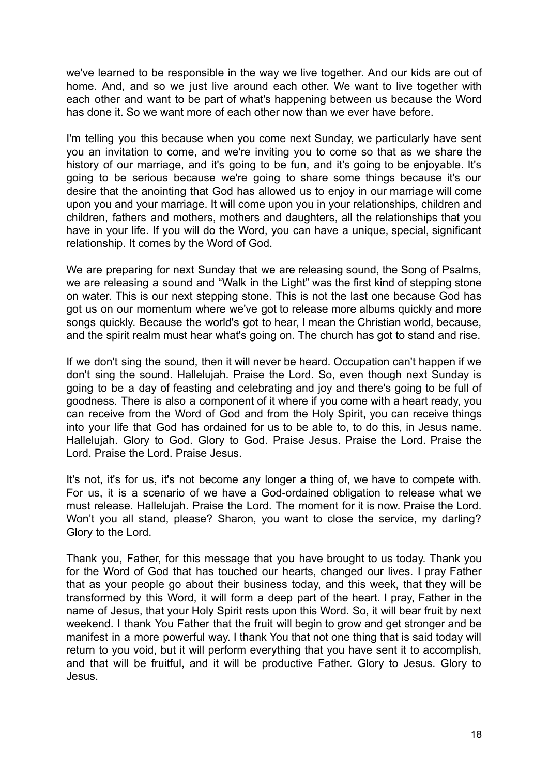we've learned to be responsible in the way we live together. And our kids are out of home. And, and so we just live around each other. We want to live together with each other and want to be part of what's happening between us because the Word has done it. So we want more of each other now than we ever have before.

I'm telling you this because when you come next Sunday, we particularly have sent you an invitation to come, and we're inviting you to come so that as we share the history of our marriage, and it's going to be fun, and it's going to be enjoyable. It's going to be serious because we're going to share some things because it's our desire that the anointing that God has allowed us to enjoy in our marriage will come upon you and your marriage. It will come upon you in your relationships, children and children, fathers and mothers, mothers and daughters, all the relationships that you have in your life. If you will do the Word, you can have a unique, special, significant relationship. It comes by the Word of God.

We are preparing for next Sunday that we are releasing sound, the Song of Psalms, we are releasing a sound and "Walk in the Light" was the first kind of stepping stone on water. This is our next stepping stone. This is not the last one because God has got us on our momentum where we've got to release more albums quickly and more songs quickly. Because the world's got to hear, I mean the Christian world, because, and the spirit realm must hear what's going on. The church has got to stand and rise.

If we don't sing the sound, then it will never be heard. Occupation can't happen if we don't sing the sound. Hallelujah. Praise the Lord. So, even though next Sunday is going to be a day of feasting and celebrating and joy and there's going to be full of goodness. There is also a component of it where if you come with a heart ready, you can receive from the Word of God and from the Holy Spirit, you can receive things into your life that God has ordained for us to be able to, to do this, in Jesus name. Hallelujah. Glory to God. Glory to God. Praise Jesus. Praise the Lord. Praise the Lord. Praise the Lord. Praise Jesus.

It's not, it's for us, it's not become any longer a thing of, we have to compete with. For us, it is a scenario of we have a God-ordained obligation to release what we must release. Hallelujah. Praise the Lord. The moment for it is now. Praise the Lord. Won't you all stand, please? Sharon, you want to close the service, my darling? Glory to the Lord.

Thank you, Father, for this message that you have brought to us today. Thank you for the Word of God that has touched our hearts, changed our lives. I pray Father that as your people go about their business today, and this week, that they will be transformed by this Word, it will form a deep part of the heart. I pray, Father in the name of Jesus, that your Holy Spirit rests upon this Word. So, it will bear fruit by next weekend. I thank You Father that the fruit will begin to grow and get stronger and be manifest in a more powerful way. I thank You that not one thing that is said today will return to you void, but it will perform everything that you have sent it to accomplish, and that will be fruitful, and it will be productive Father. Glory to Jesus. Glory to Jesus.